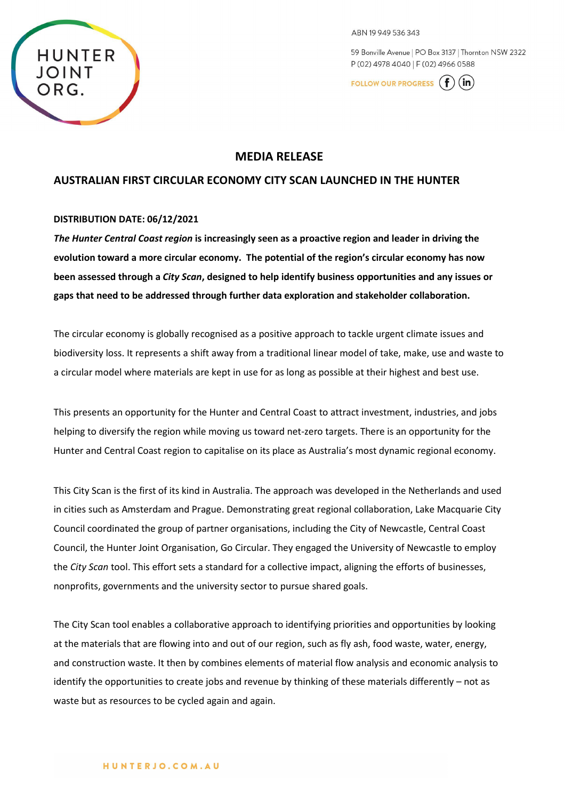

ABN 19 949 536 343

59 Bonville Avenue | PO Box 3137 | Thornton NSW 2322 P (02) 4978 4040 | F (02) 4966 0588

FOLLOW OUR PROGRESS (  $(in)$ 

# **MEDIA RELEASE**

# **AUSTRALIAN FIRST CIRCULAR ECONOMY CITY SCAN LAUNCHED IN THE HUNTER**

#### **DISTRIBUTION DATE: 06/12/2021**

*The Hunter Central Coast region* **is increasingly seen as a proactive region and leader in driving the evolution toward a more circular economy. The potential of the region's circular economy has now been assessed through a** *City Scan***, designed to help identify business opportunities and any issues or gaps that need to be addressed through further data exploration and stakeholder collaboration.**

The circular economy is globally recognised as a positive approach to tackle urgent climate issues and biodiversity loss. It represents a shift away from a traditional linear model of take, make, use and waste to a circular model where materials are kept in use for as long as possible at their highest and best use.

This presents an opportunity for the Hunter and Central Coast to attract investment, industries, and jobs helping to diversify the region while moving us toward net-zero targets. There is an opportunity for the Hunter and Central Coast region to capitalise on its place as Australia's most dynamic regional economy.

This City Scan is the first of its kind in Australia. The approach was developed in the Netherlands and used in cities such as Amsterdam and Prague. Demonstrating great regional collaboration, Lake Macquarie City Council coordinated the group of partner organisations, including the City of Newcastle, Central Coast Council, the Hunter Joint Organisation, Go Circular. They engaged the University of Newcastle to employ the *City Scan* tool. This effort sets a standard for a collective impact, aligning the efforts of businesses, nonprofits, governments and the university sector to pursue shared goals.

The City Scan tool enables a collaborative approach to identifying priorities and opportunities by looking at the materials that are flowing into and out of our region, such as fly ash, food waste, water, energy, and construction waste. It then by combines elements of material flow analysis and economic analysis to identify the opportunities to create jobs and revenue by thinking of these materials differently – not as waste but as resources to be cycled again and again.

#### HUNTERJO.COM.AU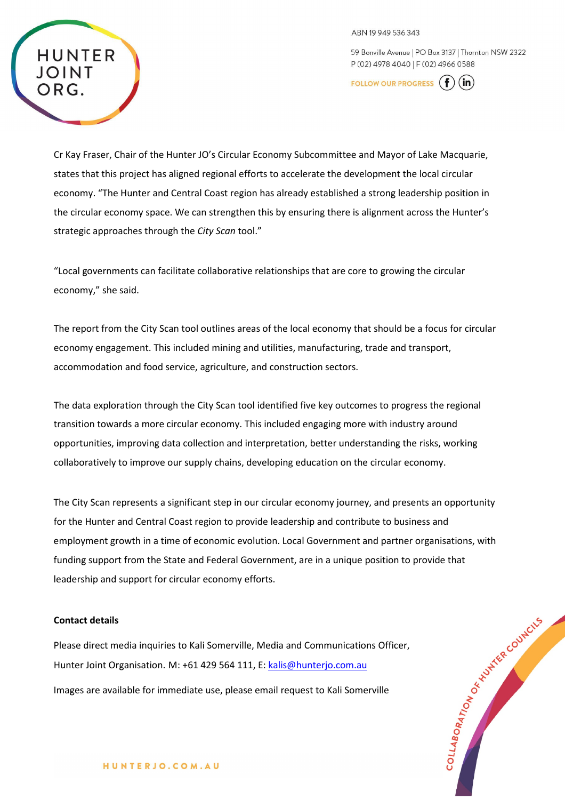ABN 19 949 536 343

59 Bonville Avenue | PO Box 3137 | Thornton NSW 2322 P (02) 4978 4040 | F (02) 4966 0588

**FOLLOW OUR PROGRESS** |  $(in)$ 



Cr Kay Fraser, Chair of the Hunter JO's Circular Economy Subcommittee and Mayor of Lake Macquarie, states that this project has aligned regional efforts to accelerate the development the local circular economy. "The Hunter and Central Coast region has already established a strong leadership position in the circular economy space. We can strengthen this by ensuring there is alignment across the Hunter's strategic approaches through the *City Scan* tool."

"Local governments can facilitate collaborative relationships that are core to growing the circular economy," she said.

The report from the City Scan tool outlines areas of the local economy that should be a focus for circular economy engagement. This included mining and utilities, manufacturing, trade and transport, accommodation and food service, agriculture, and construction sectors.

The data exploration through the City Scan tool identified five key outcomes to progress the regional transition towards a more circular economy. This included engaging more with industry around opportunities, improving data collection and interpretation, better understanding the risks, working collaboratively to improve our supply chains, developing education on the circular economy.

The City Scan represents a significant step in our circular economy journey, and presents an opportunity for the Hunter and Central Coast region to provide leadership and contribute to business and employment growth in a time of economic evolution. Local Government and partner organisations, with funding support from the State and Federal Government, are in a unique position to provide that leadership and support for circular economy efforts.

## **Contact details**

Please direct media inquiries to Kali Somerville, Media and Communications Officer, Hunter Joint Organisation. M: +61 429 564 111, E: [kalis@hunterjo.com.au](mailto:kalis@hunterjo.com.au) Images are available for immediate use, please email request to Kali Somerville